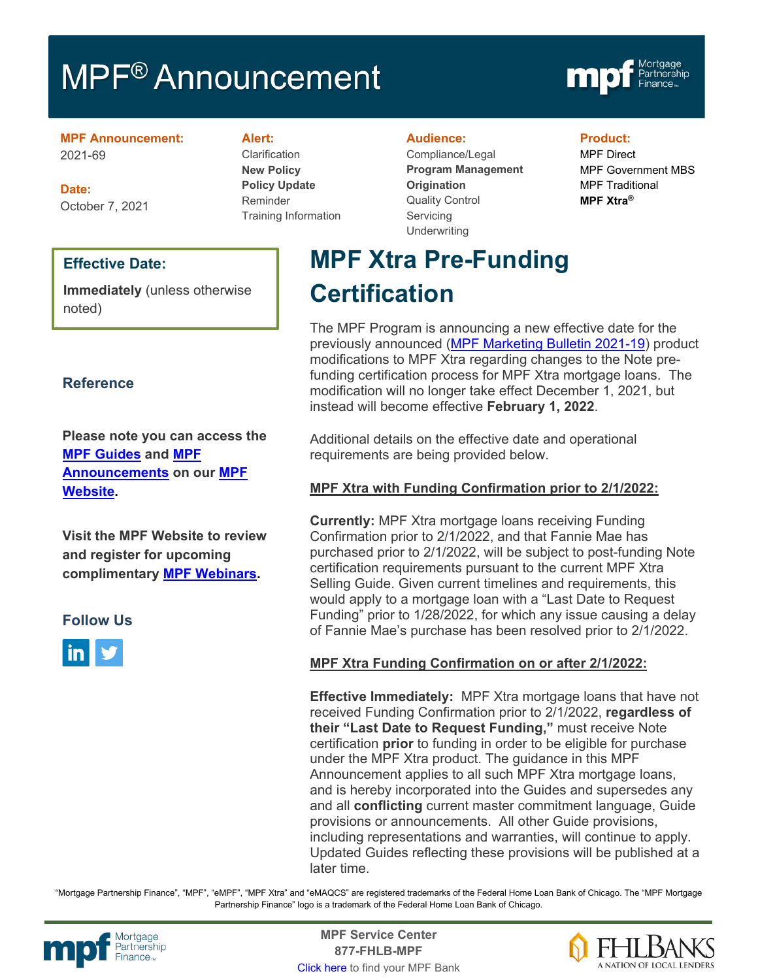# MPF<sup>®</sup> Announcement



**MPF Announcement:** 2021-69

**Date:** October 7, 2021

### **Effective Date:**

**Immediately** (unless otherwise noted)

### **Reference**

**Please note you can access the [MPF Guides](https://fhlbmpf.com/mpf-guides/guides) and [MPF](https://fhlbmpf.com/mpf-guides/announcements)  [Announcements](https://fhlbmpf.com/mpf-guides/announcements) on our [MPF](https://fhlbmpf.com/)  [Website.](https://fhlbmpf.com/)** 

**Visit the MPF Website to review and register for upcoming complimentary [MPF Webinars.](https://www.fhlbmpf.com/education/upcoming-webinars)**

### **Follow Us**



**Alert:**

Clarification **New Policy Policy Update** Reminder Training Information

#### **Audience:**

Compliance/Legal **Program Management Origination**  Quality Control **Servicing Underwriting** 

### **Product:**

MPF Direct MPF Government MBS MPF Traditional **MPF Xtra®**

## **MPF Xtra Pre-Funding Certification**

The MPF Program is announcing a new effective date for the previously announced [\(MPF Marketing Bulletin 2021-19\)](https://www.fhlbmpf.com/about-us/news/details/2021/08/31/mpf-marketing-bulletin-2021-19) product modifications to MPF Xtra regarding changes to the Note prefunding certification process for MPF Xtra mortgage loans. The modification will no longer take effect December 1, 2021, but instead will become effective **February 1, 2022**.

Additional details on the effective date and operational requirements are being provided below.

### **MPF Xtra with Funding Confirmation prior to 2/1/2022:**

**Currently:** MPF Xtra mortgage loans receiving Funding Confirmation prior to 2/1/2022, and that Fannie Mae has purchased prior to 2/1/2022, will be subject to post-funding Note certification requirements pursuant to the current MPF Xtra Selling Guide. Given current timelines and requirements, this would apply to a mortgage loan with a "Last Date to Request Funding" prior to 1/28/2022, for which any issue causing a delay of Fannie Mae's purchase has been resolved prior to 2/1/2022.

### **MPF Xtra Funding Confirmation on or after 2/1/2022:**

**Effective Immediately:** MPF Xtra mortgage loans that have not received Funding Confirmation prior to 2/1/2022, **regardless of their "Last Date to Request Funding,"** must receive Note certification **prior** to funding in order to be eligible for purchase under the MPF Xtra product. The guidance in this MPF Announcement applies to all such MPF Xtra mortgage loans, and is hereby incorporated into the Guides and supersedes any and all **conflicting** current master commitment language, Guide provisions or announcements. All other Guide provisions, including representations and warranties, will continue to apply. Updated Guides reflecting these provisions will be published at a later time.

"Mortgage Partnership Finance", "MPF", "eMPF", "MPF Xtra" and "eMAQCS" are registered trademarks of the Federal Home Loan Bank of Chicago. The "MPF Mortgage Partnership Finance" logo is a trademark of the Federal Home Loan Bank of Chicago.



Mortgage **Center Service Center**<br>Partnership **Canadian Center Center**<br> **Partnership CALL STATELL B MDE 877-FHLB-MPF** [Click here](https://www.fhlbmpf.com/fhlbanks/fhlbanks) to find your MPF Bank